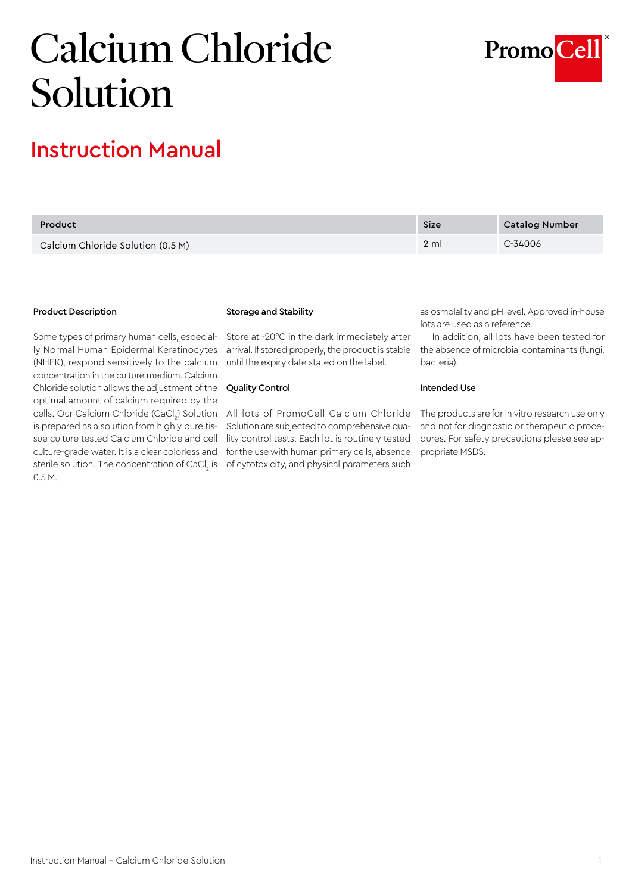# Calcium Chloride Solution



## Instruction Manual

| Product                           | Size            | Catalog Number |
|-----------------------------------|-----------------|----------------|
| Calcium Chloride Solution (0.5 M) | $2 \mathrm{ml}$ | C-34006        |

#### Product Description

Some types of primary human cells, especially Normal Human Epidermal Keratinocytes (NHEK), respond sensitively to the calcium concentration in the culture medium. Calcium Chloride solution allows the adjustment of the optimal amount of calcium required by the cells. Our Calcium Chloride (CaCl $_{\textrm{\tiny{2}}}$ ) Solution - All-lots of PromoCell-Calcium-Chloride is prepared as a solution from highly pure tissue culture tested Calcium Chloride and cell culture-grade water. It is a clear colorless and sterile solution. The concentration of CaCl $_{_{2}}$  is 0.5 M.

#### Storage and Stability

Store at -20°C in the dark immediately after arrival. If stored properly, the product is stable until the expiry date stated on the label.

### Quality Control

Solution are subjected to comprehensive quality control tests. Each lot is routinely tested for the use with human primary cells, absence of cytotoxicity, and physical parameters such

as osmolality and pH level. Approved in-house lots are used as a reference.

In addition, all lots have been tested for the absence of microbial contaminants (fungi, bacteria).

#### Intended Use

The products are for in vitro research use only and not for diagnostic or therapeutic procedures. For safety precautions please see appropriate MSDS.